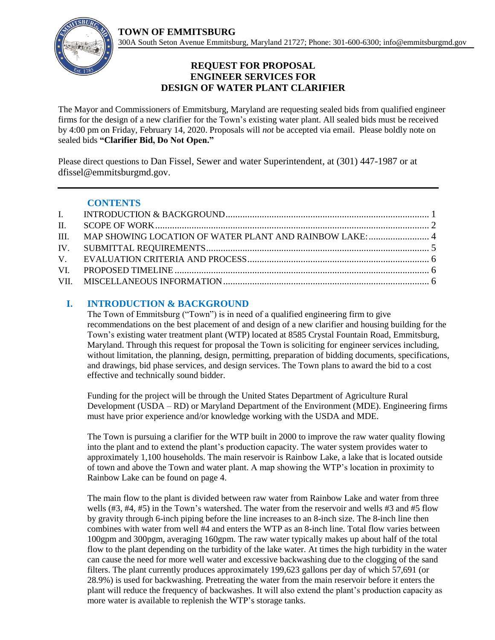**TOWN OF EMMITSBURG** 



## **REQUEST FOR PROPOSAL ENGINEER SERVICES FOR DESIGN OF WATER PLANT CLARIFIER**

The Mayor and Commissioners of Emmitsburg, Maryland are requesting sealed bids from qualified engineer firms for the design of a new clarifier for the Town's existing water plant. All sealed bids must be received by 4:00 pm on Friday, February 14, 2020. Proposals will *not* be accepted via email. Please boldly note on sealed bids **"Clarifier Bid, Do Not Open."**

Please direct questions to Dan Fissel, Sewer and water Superintendent, at (301) 447-1987 or at dfissel@emmitsburgmd.gov.

### **CONTENTS**

## <span id="page-0-0"></span>**I. INTRODUCTION & BACKGROUND**

The Town of Emmitsburg ("Town") is in need of a qualified engineering firm to give recommendations on the best placement of and design of a new clarifier and housing building for the Town's existing water treatment plant (WTP) located at 8585 Crystal Fountain Road, Emmitsburg, Maryland. Through this request for proposal the Town is soliciting for engineer services including, without limitation, the planning, design, permitting, preparation of bidding documents, specifications, and drawings, bid phase services, and design services. The Town plans to award the bid to a cost effective and technically sound bidder.

Funding for the project will be through the United States Department of Agriculture Rural Development (USDA – RD) or Maryland Department of the Environment (MDE). Engineering firms must have prior experience and/or knowledge working with the USDA and MDE.

The Town is pursuing a clarifier for the WTP built in 2000 to improve the raw water quality flowing into the plant and to extend the plant's production capacity. The water system provides water to approximately 1,100 households. The main reservoir is Rainbow Lake, a lake that is located outside of town and above the Town and water plant. A map showing the WTP's location in proximity to Rainbow Lake can be found on page 4.

The main flow to the plant is divided between raw water from Rainbow Lake and water from three wells (#3, #4, #5) in the Town's watershed. The water from the reservoir and wells #3 and #5 flow by gravity through 6-inch piping before the line increases to an 8-inch size. The 8-inch line then combines with water from well #4 and enters the WTP as an 8-inch line. Total flow varies between 100gpm and 300pgm, averaging 160gpm. The raw water typically makes up about half of the total flow to the plant depending on the turbidity of the lake water. At times the high turbidity in the water can cause the need for more well water and excessive backwashing due to the clogging of the sand filters. The plant currently produces approximately 199,623 gallons per day of which 57,691 (or 28.9%) is used for backwashing. Pretreating the water from the main reservoir before it enters the plant will reduce the frequency of backwashes. It will also extend the plant's production capacity as more water is available to replenish the WTP's storage tanks.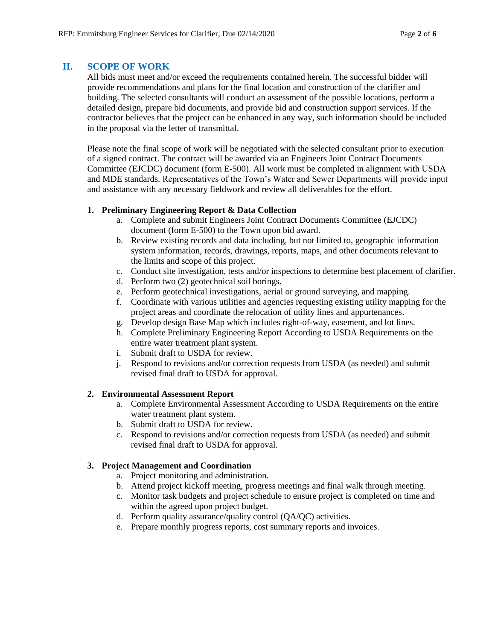## <span id="page-1-0"></span>**II. SCOPE OF WORK**

All bids must meet and/or exceed the requirements contained herein. The successful bidder will provide recommendations and plans for the final location and construction of the clarifier and building. The selected consultants will conduct an assessment of the possible locations, perform a detailed design, prepare bid documents, and provide bid and construction support services. If the contractor believes that the project can be enhanced in any way, such information should be included in the proposal via the letter of transmittal.

Please note the final scope of work will be negotiated with the selected consultant prior to execution of a signed contract. The contract will be awarded via an Engineers Joint Contract Documents Committee (EJCDC) document (form E-500). All work must be completed in alignment with USDA and MDE standards. Representatives of the Town's Water and Sewer Departments will provide input and assistance with any necessary fieldwork and review all deliverables for the effort.

#### **1. Preliminary Engineering Report & Data Collection**

- a. Complete and submit Engineers Joint Contract Documents Committee (EJCDC) document (form E-500) to the Town upon bid award.
- b. Review existing records and data including, but not limited to, geographic information system information, records, drawings, reports, maps, and other documents relevant to the limits and scope of this project.
- c. Conduct site investigation, tests and/or inspections to determine best placement of clarifier.
- d. Perform two (2) geotechnical soil borings.
- e. Perform geotechnical investigations, aerial or ground surveying, and mapping.
- f. Coordinate with various utilities and agencies requesting existing utility mapping for the project areas and coordinate the relocation of utility lines and appurtenances.
- g. Develop design Base Map which includes right-of-way, easement, and lot lines.
- h. Complete Preliminary Engineering Report According to USDA Requirements on the entire water treatment plant system.
- i. Submit draft to USDA for review.
- j. Respond to revisions and/or correction requests from USDA (as needed) and submit revised final draft to USDA for approval.

#### **2. Environmental Assessment Report**

- a. Complete Environmental Assessment According to USDA Requirements on the entire water treatment plant system.
- b. Submit draft to USDA for review.
- c. Respond to revisions and/or correction requests from USDA (as needed) and submit revised final draft to USDA for approval.

#### **3. Project Management and Coordination**

- a. Project monitoring and administration.
- b. Attend project kickoff meeting, progress meetings and final walk through meeting.
- c. Monitor task budgets and project schedule to ensure project is completed on time and within the agreed upon project budget.
- d. Perform quality assurance/quality control (QA/QC) activities.
- e. Prepare monthly progress reports, cost summary reports and invoices.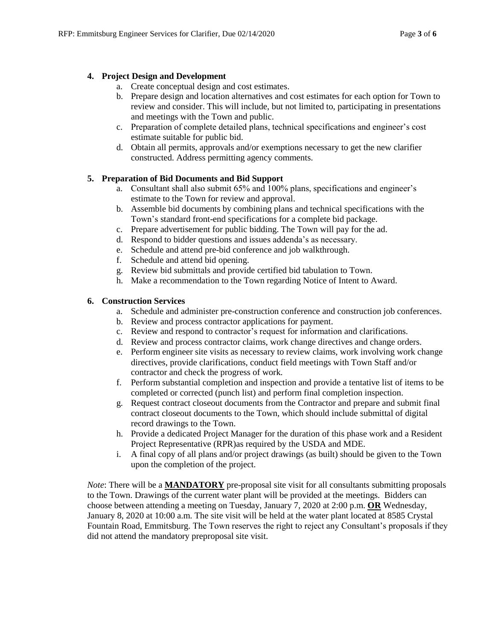#### **4. Project Design and Development**

- a. Create conceptual design and cost estimates.
- b. Prepare design and location alternatives and cost estimates for each option for Town to review and consider. This will include, but not limited to, participating in presentations and meetings with the Town and public.
- c. Preparation of complete detailed plans, technical specifications and engineer's cost estimate suitable for public bid.
- d. Obtain all permits, approvals and/or exemptions necessary to get the new clarifier constructed. Address permitting agency comments.

#### **5. Preparation of Bid Documents and Bid Support**

- a. Consultant shall also submit 65% and 100% plans, specifications and engineer's estimate to the Town for review and approval.
- b. Assemble bid documents by combining plans and technical specifications with the Town's standard front-end specifications for a complete bid package.
- c. Prepare advertisement for public bidding. The Town will pay for the ad.
- d. Respond to bidder questions and issues addenda's as necessary.
- e. Schedule and attend pre-bid conference and job walkthrough.
- f. Schedule and attend bid opening.
- g. Review bid submittals and provide certified bid tabulation to Town.
- h. Make a recommendation to the Town regarding Notice of Intent to Award.

#### **6. Construction Services**

- a. Schedule and administer pre-construction conference and construction job conferences.
- b. Review and process contractor applications for payment.
- c. Review and respond to contractor's request for information and clarifications.
- d. Review and process contractor claims, work change directives and change orders.
- e. Perform engineer site visits as necessary to review claims, work involving work change directives, provide clarifications, conduct field meetings with Town Staff and/or contractor and check the progress of work.
- f. Perform substantial completion and inspection and provide a tentative list of items to be completed or corrected (punch list) and perform final completion inspection.
- g. Request contract closeout documents from the Contractor and prepare and submit final contract closeout documents to the Town, which should include submittal of digital record drawings to the Town.
- h. Provide a dedicated Project Manager for the duration of this phase work and a Resident Project Representative (RPR)as required by the USDA and MDE.
- i. A final copy of all plans and/or project drawings (as built) should be given to the Town upon the completion of the project.

*Note*: There will be a **MANDATORY** pre-proposal site visit for all consultants submitting proposals to the Town. Drawings of the current water plant will be provided at the meetings. Bidders can choose between attending a meeting on Tuesday, January 7, 2020 at 2:00 p.m. **OR** Wednesday, January 8, 2020 at 10:00 a.m. The site visit will be held at the water plant located at 8585 Crystal Fountain Road, Emmitsburg. The Town reserves the right to reject any Consultant's proposals if they did not attend the mandatory preproposal site visit.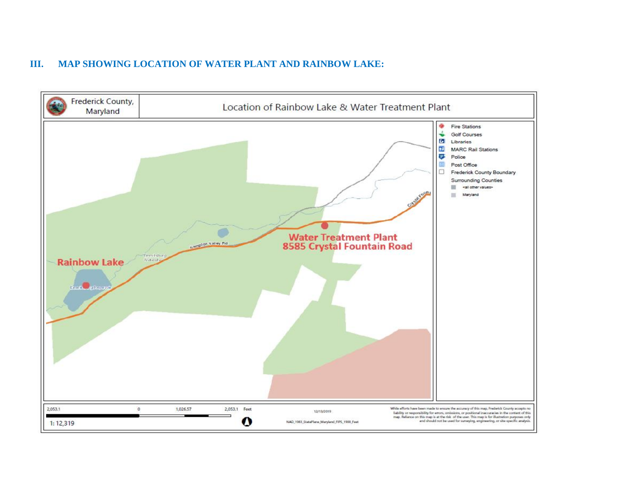## **III. MAP SHOWING LOCATION OF WATER PLANT AND RAINBOW LAKE:**

<span id="page-3-0"></span>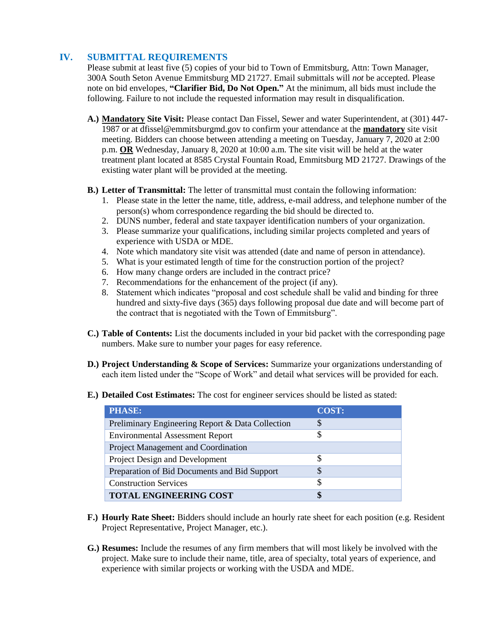## <span id="page-4-0"></span>**IV. SUBMITTAL REQUIREMENTS**

Please submit at least five (5) copies of your bid to Town of Emmitsburg, Attn: Town Manager, 300A South Seton Avenue Emmitsburg MD 21727. Email submittals will *not* be accepted. Please note on bid envelopes, **"Clarifier Bid, Do Not Open."** At the minimum, all bids must include the following. Failure to not include the requested information may result in disqualification.

- **A.) Mandatory Site Visit:** Please contact Dan Fissel, Sewer and water Superintendent, at (301) 447- 1987 or at dfissel@emmitsburgmd.gov to confirm your attendance at the **mandatory** site visit meeting. Bidders can choose between attending a meeting on Tuesday, January 7, 2020 at 2:00 p.m. **OR** Wednesday, January 8, 2020 at 10:00 a.m. The site visit will be held at the water treatment plant located at 8585 Crystal Fountain Road, Emmitsburg MD 21727. Drawings of the existing water plant will be provided at the meeting.
- **B.) Letter of Transmittal:** The letter of transmittal must contain the following information:
	- 1. Please state in the letter the name, title, address, e-mail address, and telephone number of the person(s) whom correspondence regarding the bid should be directed to.
	- 2. DUNS number, federal and state taxpayer identification numbers of your organization.
	- 3. Please summarize your qualifications, including similar projects completed and years of experience with USDA or MDE.
	- 4. Note which mandatory site visit was attended (date and name of person in attendance).
	- 5. What is your estimated length of time for the construction portion of the project?
	- 6. How many change orders are included in the contract price?
	- 7. Recommendations for the enhancement of the project (if any).
	- 8. Statement which indicates "proposal and cost schedule shall be valid and binding for three hundred and sixty-five days (365) days following proposal due date and will become part of the contract that is negotiated with the Town of Emmitsburg".
- **C.) Table of Contents:** List the documents included in your bid packet with the corresponding page numbers. Make sure to number your pages for easy reference.
- **D.) Project Understanding & Scope of Services:** Summarize your organizations understanding of each item listed under the "Scope of Work" and detail what services will be provided for each.
- **E.) Detailed Cost Estimates:** The cost for engineer services should be listed as stated:

| <b>PHASE:</b>                                    | <b>COST:</b> |
|--------------------------------------------------|--------------|
| Preliminary Engineering Report & Data Collection | \$           |
| <b>Environmental Assessment Report</b>           | S            |
| Project Management and Coordination              |              |
| Project Design and Development                   | S            |
| Preparation of Bid Documents and Bid Support     | S            |
| <b>Construction Services</b>                     | S            |
| <b>TOTAL ENGINEERING COST</b>                    | S            |

- **F.) Hourly Rate Sheet:** Bidders should include an hourly rate sheet for each position (e.g. Resident Project Representative, Project Manager, etc.).
- **G.) Resumes:** Include the resumes of any firm members that will most likely be involved with the project. Make sure to include their name, title, area of specialty, total years of experience, and experience with similar projects or working with the USDA and MDE.